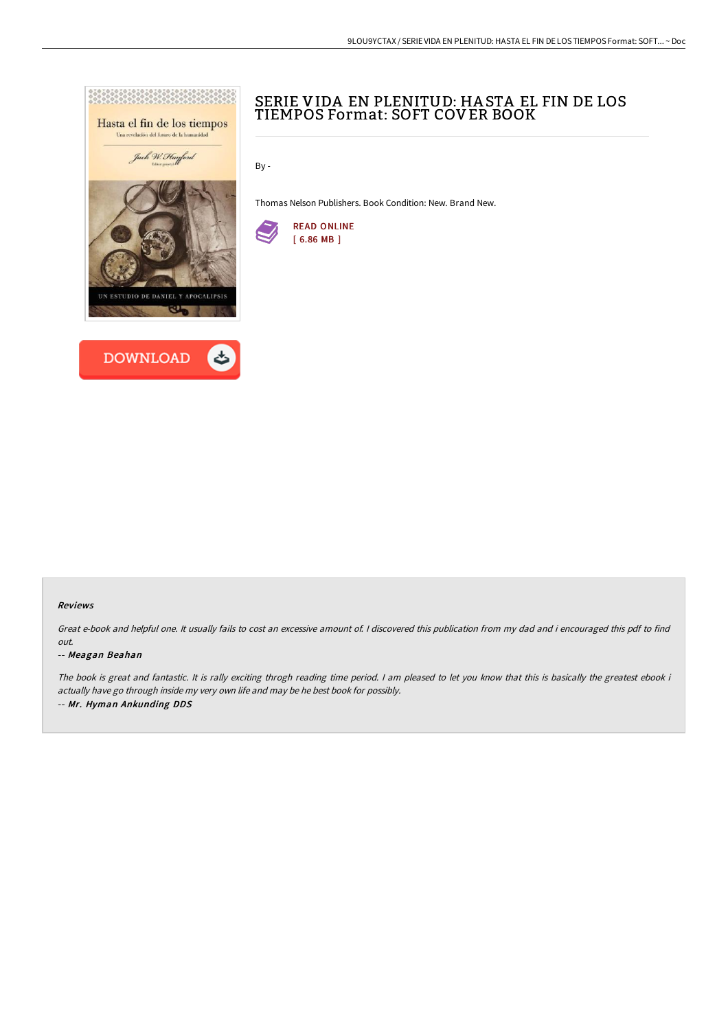



# SERIE VIDA EN PLENITUD: HA STA EL FIN DE LOS TIEMPOS Format: SOFT COVER BOOK

By -

Thomas Nelson Publishers. Book Condition: New. Brand New.



#### Reviews

Great e-book and helpful one. It usually fails to cost an excessive amount of. <sup>I</sup> discovered this publication from my dad and i encouraged this pdf to find out.

#### -- Meagan Beahan

The book is great and fantastic. It is rally exciting throgh reading time period. <sup>I</sup> am pleased to let you know that this is basically the greatest ebook i actually have go through inside my very own life and may be he best book for possibly. -- Mr. Hyman Ankunding DDS